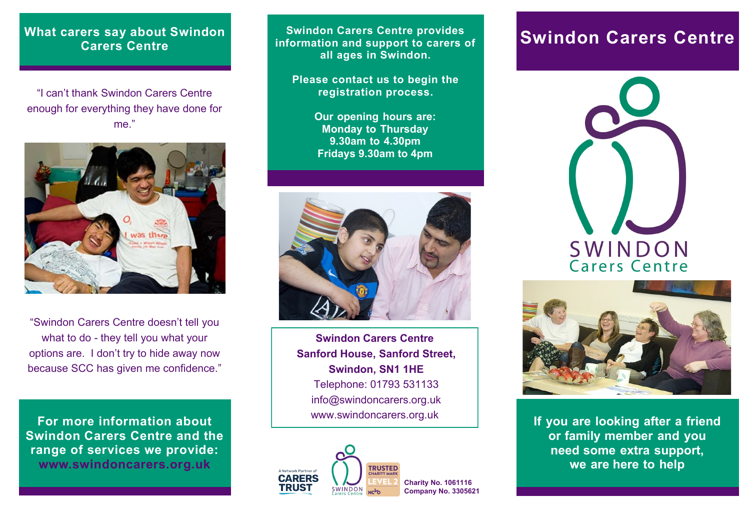## **What carers say about Swindon Carers Centre**

"I can't thank Swindon Carers Centre enough for everything they have done for me."



"Swindon Carers Centre doesn't tell you what to do - they tell you what your options are. I don't try to hide away now because SCC has given me confidence."

**For more information about Swindon Carers Centre and the range of services we provide: www.swindoncarers.org.uk**

**Swindon Carers Centre provides Swindon Carers Centre provides and support to carers of Swindon Carers Centre information and support to carers of all ages in Swindon.**

**Please contact us to begin the registration process.**

> **Our opening hours are: Monday to Thursday 9.30am to 4.30pm Fridays 9.30am to 4pm**



**Swindon Carers Centre Sanford House, Sanford Street, Swindon, SN1 1HE** Telephone: 01793 531133 info@swindoncarers.org.uk www.swindoncarers.org.uk







**If you are looking after a friend or family member and you need some extra support, we are here to help**